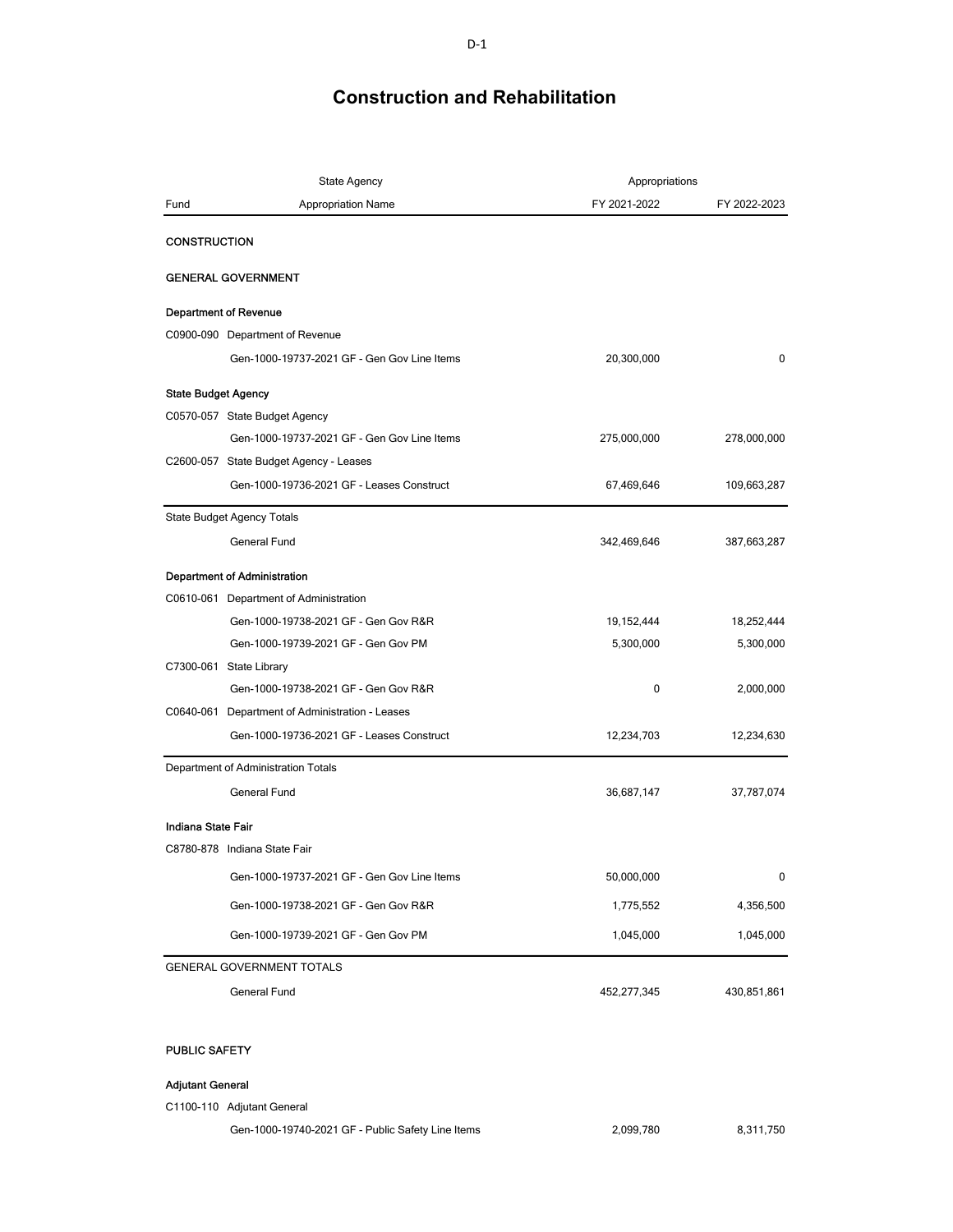| <b>State Agency</b>        |                                                 | Appropriations |              |
|----------------------------|-------------------------------------------------|----------------|--------------|
| Fund                       | <b>Appropriation Name</b>                       | FY 2021-2022   | FY 2022-2023 |
| <b>CONSTRUCTION</b>        |                                                 |                |              |
|                            | <b>GENERAL GOVERNMENT</b>                       |                |              |
|                            | <b>Department of Revenue</b>                    |                |              |
|                            | C0900-090 Department of Revenue                 |                |              |
|                            | Gen-1000-19737-2021 GF - Gen Gov Line Items     | 20,300,000     | 0            |
| <b>State Budget Agency</b> |                                                 |                |              |
|                            | C0570-057 State Budget Agency                   |                |              |
|                            | Gen-1000-19737-2021 GF - Gen Gov Line Items     | 275,000,000    | 278,000,000  |
|                            | C2600-057 State Budget Agency - Leases          |                |              |
|                            | Gen-1000-19736-2021 GF - Leases Construct       | 67,469,646     | 109,663,287  |
|                            | State Budget Agency Totals                      |                |              |
|                            | General Fund                                    | 342,469,646    | 387,663,287  |
|                            | <b>Department of Administration</b>             |                |              |
|                            | C0610-061 Department of Administration          |                |              |
|                            | Gen-1000-19738-2021 GF - Gen Gov R&R            | 19, 152, 444   | 18,252,444   |
|                            | Gen-1000-19739-2021 GF - Gen Gov PM             | 5,300,000      | 5,300,000    |
|                            | C7300-061 State Library                         |                |              |
|                            | Gen-1000-19738-2021 GF - Gen Gov R&R            | 0              | 2,000,000    |
|                            | C0640-061 Department of Administration - Leases |                |              |
|                            | Gen-1000-19736-2021 GF - Leases Construct       | 12,234,703     | 12,234,630   |
|                            | Department of Administration Totals             |                |              |
|                            | <b>General Fund</b>                             | 36,687,147     | 37,787,074   |
| <b>Indiana State Fair</b>  |                                                 |                |              |
|                            | C8780-878 Indiana State Fair                    |                |              |
|                            | Gen-1000-19737-2021 GF - Gen Gov Line Items     | 50,000,000     | 0            |
|                            | Gen-1000-19738-2021 GF - Gen Gov R&R            | 1,775,552      | 4,356,500    |
|                            | Gen-1000-19739-2021 GF - Gen Gov PM             | 1,045,000      | 1,045,000    |
|                            | <b>GENERAL GOVERNMENT TOTALS</b>                |                |              |
|                            | General Fund                                    | 452,277,345    | 430,851,861  |
|                            |                                                 |                |              |

#### PUBLIC SAFETY

#### **Adjutant General**

C1100-110 Adjutant General

Gen-1000-19740-2021 GF - Public Safety Line Items 2,099,780 8,311,750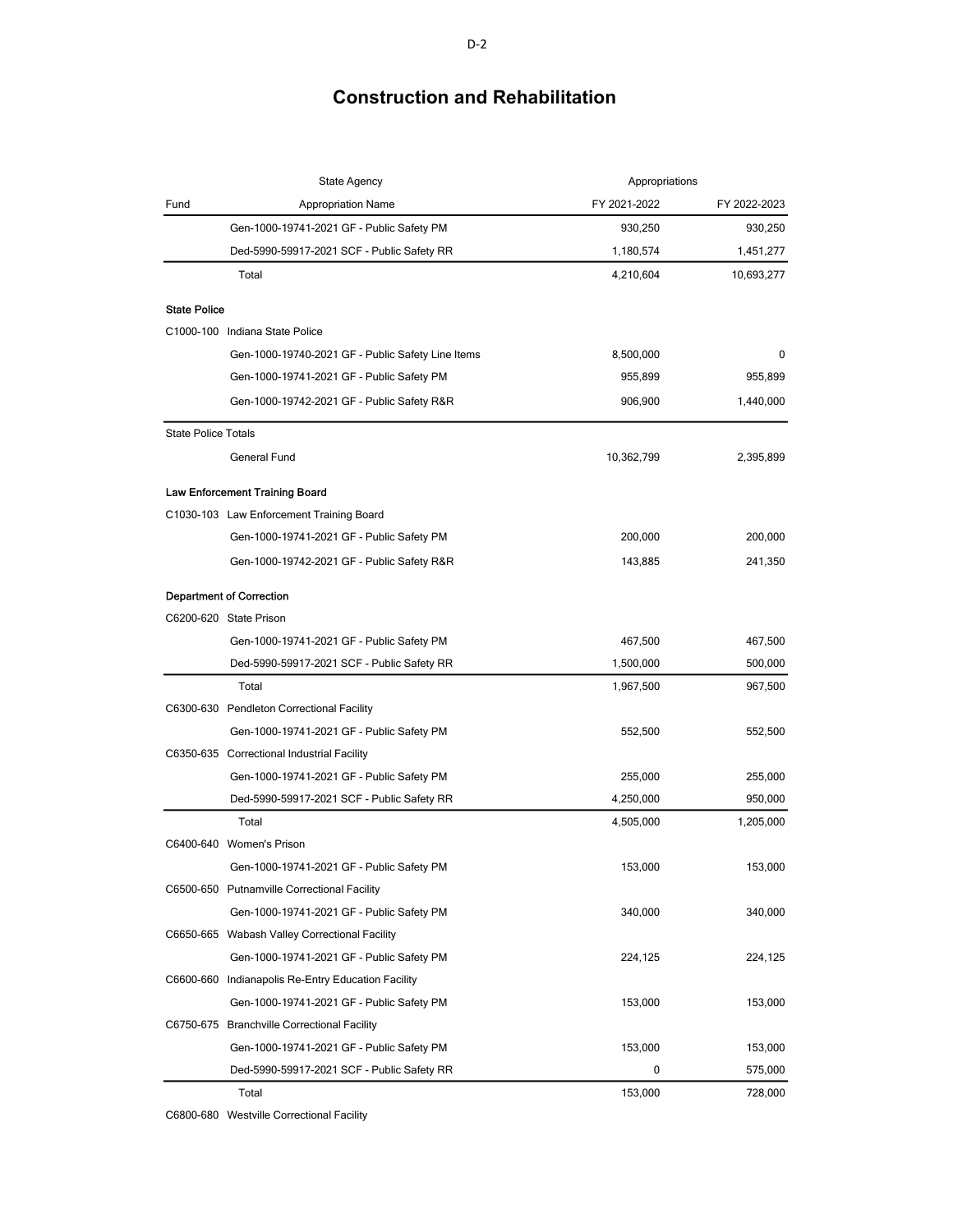|                            | <b>State Agency</b>                                | Appropriations |              |
|----------------------------|----------------------------------------------------|----------------|--------------|
| Fund                       | <b>Appropriation Name</b>                          | FY 2021-2022   | FY 2022-2023 |
|                            | Gen-1000-19741-2021 GF - Public Safety PM          | 930,250        | 930,250      |
|                            | Ded-5990-59917-2021 SCF - Public Safety RR         | 1,180,574      | 1,451,277    |
|                            | Total                                              | 4,210,604      | 10,693,277   |
| <b>State Police</b>        |                                                    |                |              |
|                            | C1000-100 Indiana State Police                     |                |              |
|                            | Gen-1000-19740-2021 GF - Public Safety Line Items  | 8,500,000      | 0            |
|                            | Gen-1000-19741-2021 GF - Public Safety PM          | 955,899        | 955,899      |
|                            | Gen-1000-19742-2021 GF - Public Safety R&R         | 906,900        | 1,440,000    |
| <b>State Police Totals</b> |                                                    |                |              |
|                            | General Fund                                       | 10,362,799     | 2,395,899    |
|                            | Law Enforcement Training Board                     |                |              |
|                            | C1030-103 Law Enforcement Training Board           |                |              |
|                            | Gen-1000-19741-2021 GF - Public Safety PM          | 200,000        | 200,000      |
|                            | Gen-1000-19742-2021 GF - Public Safety R&R         | 143,885        | 241,350      |
|                            | <b>Department of Correction</b>                    |                |              |
|                            | C6200-620 State Prison                             |                |              |
|                            | Gen-1000-19741-2021 GF - Public Safety PM          | 467,500        | 467,500      |
|                            | Ded-5990-59917-2021 SCF - Public Safety RR         | 1,500,000      | 500,000      |
|                            | Total                                              | 1,967,500      | 967,500      |
|                            | C6300-630 Pendleton Correctional Facility          |                |              |
|                            | Gen-1000-19741-2021 GF - Public Safety PM          | 552,500        | 552,500      |
|                            | C6350-635 Correctional Industrial Facility         |                |              |
|                            | Gen-1000-19741-2021 GF - Public Safety PM          | 255,000        | 255,000      |
|                            | Ded-5990-59917-2021 SCF - Public Safety RR         | 4,250,000      | 950,000      |
|                            | Total                                              | 4,505,000      | 1,205,000    |
|                            | C6400-640 Women's Prison                           |                |              |
|                            | Gen-1000-19741-2021 GF - Public Safety PM          | 153,000        | 153.000      |
|                            | C6500-650 Putnamville Correctional Facility        |                |              |
|                            | Gen-1000-19741-2021 GF - Public Safety PM          | 340,000        | 340,000      |
|                            | C6650-665 Wabash Valley Correctional Facility      |                |              |
|                            | Gen-1000-19741-2021 GF - Public Safety PM          | 224,125        | 224,125      |
|                            | C6600-660 Indianapolis Re-Entry Education Facility |                |              |
|                            | Gen-1000-19741-2021 GF - Public Safety PM          | 153,000        | 153,000      |
|                            | C6750-675 Branchville Correctional Facility        |                |              |
|                            | Gen-1000-19741-2021 GF - Public Safety PM          | 153,000        | 153,000      |
|                            | Ded-5990-59917-2021 SCF - Public Safety RR         | 0              | 575,000      |
|                            | Total                                              | 153,000        | 728,000      |

C6800-680 Westville Correctional Facility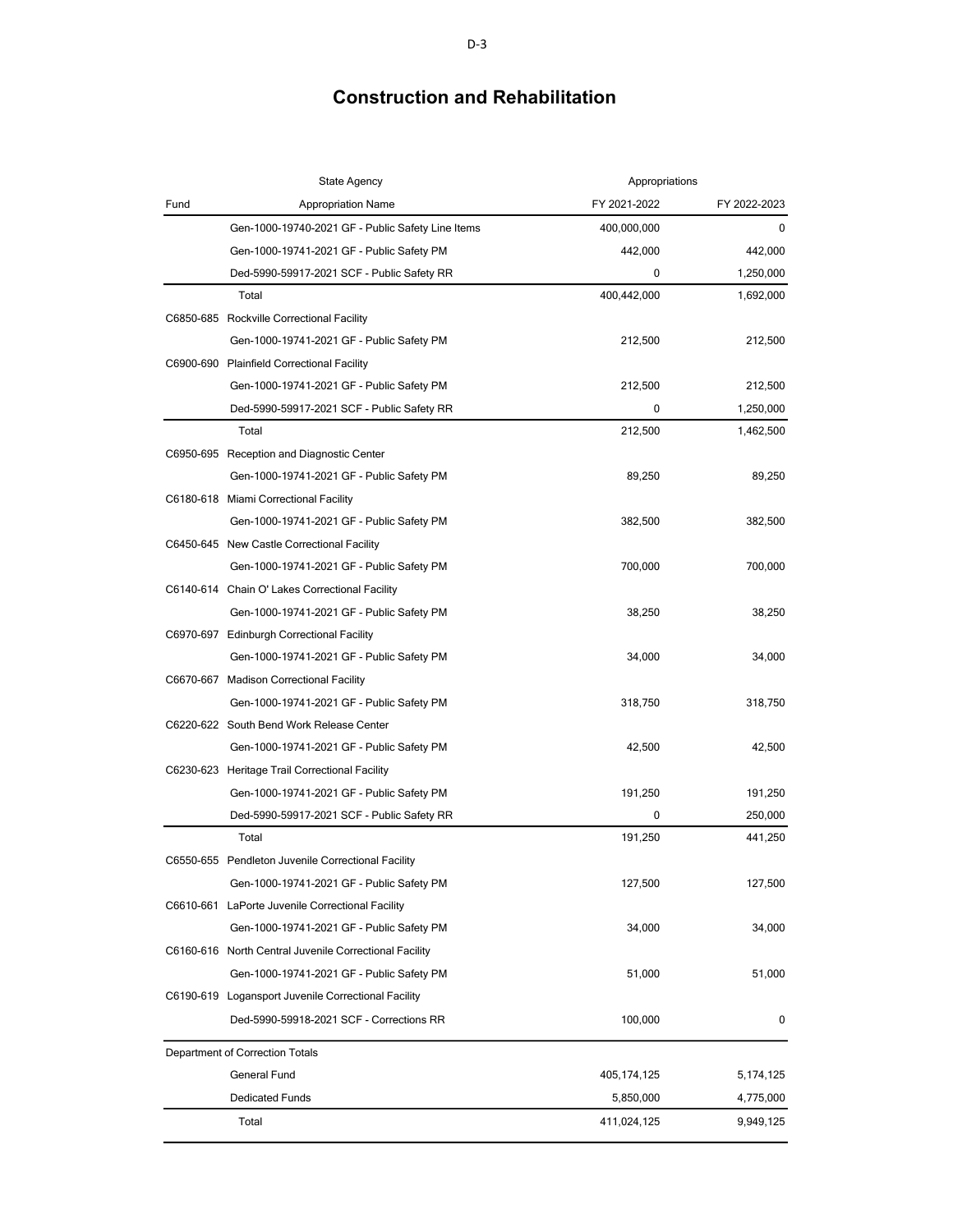|      | <b>State Agency</b>                                    | Appropriations |              |  |  |
|------|--------------------------------------------------------|----------------|--------------|--|--|
| Fund | <b>Appropriation Name</b>                              | FY 2021-2022   | FY 2022-2023 |  |  |
|      | Gen-1000-19740-2021 GF - Public Safety Line Items      | 400,000,000    | 0            |  |  |
|      | Gen-1000-19741-2021 GF - Public Safety PM              | 442,000        | 442,000      |  |  |
|      | Ded-5990-59917-2021 SCF - Public Safety RR             | 0              | 1,250,000    |  |  |
|      | Total                                                  | 400,442,000    | 1,692,000    |  |  |
|      | C6850-685 Rockville Correctional Facility              |                |              |  |  |
|      | Gen-1000-19741-2021 GF - Public Safety PM              | 212,500        | 212,500      |  |  |
|      | C6900-690 Plainfield Correctional Facility             |                |              |  |  |
|      | Gen-1000-19741-2021 GF - Public Safety PM              | 212,500        | 212,500      |  |  |
|      | Ded-5990-59917-2021 SCF - Public Safety RR             | 0              | 1,250,000    |  |  |
|      | Total                                                  | 212,500        | 1,462,500    |  |  |
|      | C6950-695 Reception and Diagnostic Center              |                |              |  |  |
|      | Gen-1000-19741-2021 GF - Public Safety PM              | 89,250         | 89,250       |  |  |
|      | C6180-618 Miami Correctional Facility                  |                |              |  |  |
|      | Gen-1000-19741-2021 GF - Public Safety PM              | 382,500        | 382,500      |  |  |
|      | C6450-645 New Castle Correctional Facility             |                |              |  |  |
|      | Gen-1000-19741-2021 GF - Public Safety PM              | 700,000        | 700,000      |  |  |
|      | C6140-614 Chain O' Lakes Correctional Facility         |                |              |  |  |
|      | Gen-1000-19741-2021 GF - Public Safety PM              | 38,250         | 38,250       |  |  |
|      | C6970-697 Edinburgh Correctional Facility              |                |              |  |  |
|      | Gen-1000-19741-2021 GF - Public Safety PM              | 34,000         | 34,000       |  |  |
|      | C6670-667 Madison Correctional Facility                |                |              |  |  |
|      | Gen-1000-19741-2021 GF - Public Safety PM              | 318,750        | 318,750      |  |  |
|      | C6220-622 South Bend Work Release Center               |                |              |  |  |
|      | Gen-1000-19741-2021 GF - Public Safety PM              | 42,500         | 42,500       |  |  |
|      | C6230-623 Heritage Trail Correctional Facility         |                |              |  |  |
|      | Gen-1000-19741-2021 GF - Public Safety PM              | 191,250        | 191,250      |  |  |
|      | Ded-5990-59917-2021 SCF - Public Safety RR             | 0              | 250,000      |  |  |
|      | Total                                                  | 191,250        | 441,250      |  |  |
|      | C6550-655 Pendleton Juvenile Correctional Facility     |                |              |  |  |
|      | Gen-1000-19741-2021 GF - Public Safety PM              | 127,500        | 127,500      |  |  |
|      | C6610-661 LaPorte Juvenile Correctional Facility       |                |              |  |  |
|      | Gen-1000-19741-2021 GF - Public Safety PM              | 34,000         | 34,000       |  |  |
|      | C6160-616 North Central Juvenile Correctional Facility |                |              |  |  |
|      | Gen-1000-19741-2021 GF - Public Safety PM              | 51,000         | 51,000       |  |  |
|      | C6190-619 Logansport Juvenile Correctional Facility    |                |              |  |  |
|      | Ded-5990-59918-2021 SCF - Corrections RR               | 100,000        | 0            |  |  |
|      | Department of Correction Totals                        |                |              |  |  |
|      | General Fund                                           | 405,174,125    | 5,174,125    |  |  |
|      | <b>Dedicated Funds</b>                                 | 5,850,000      | 4,775,000    |  |  |
|      | Total                                                  | 411,024,125    | 9,949,125    |  |  |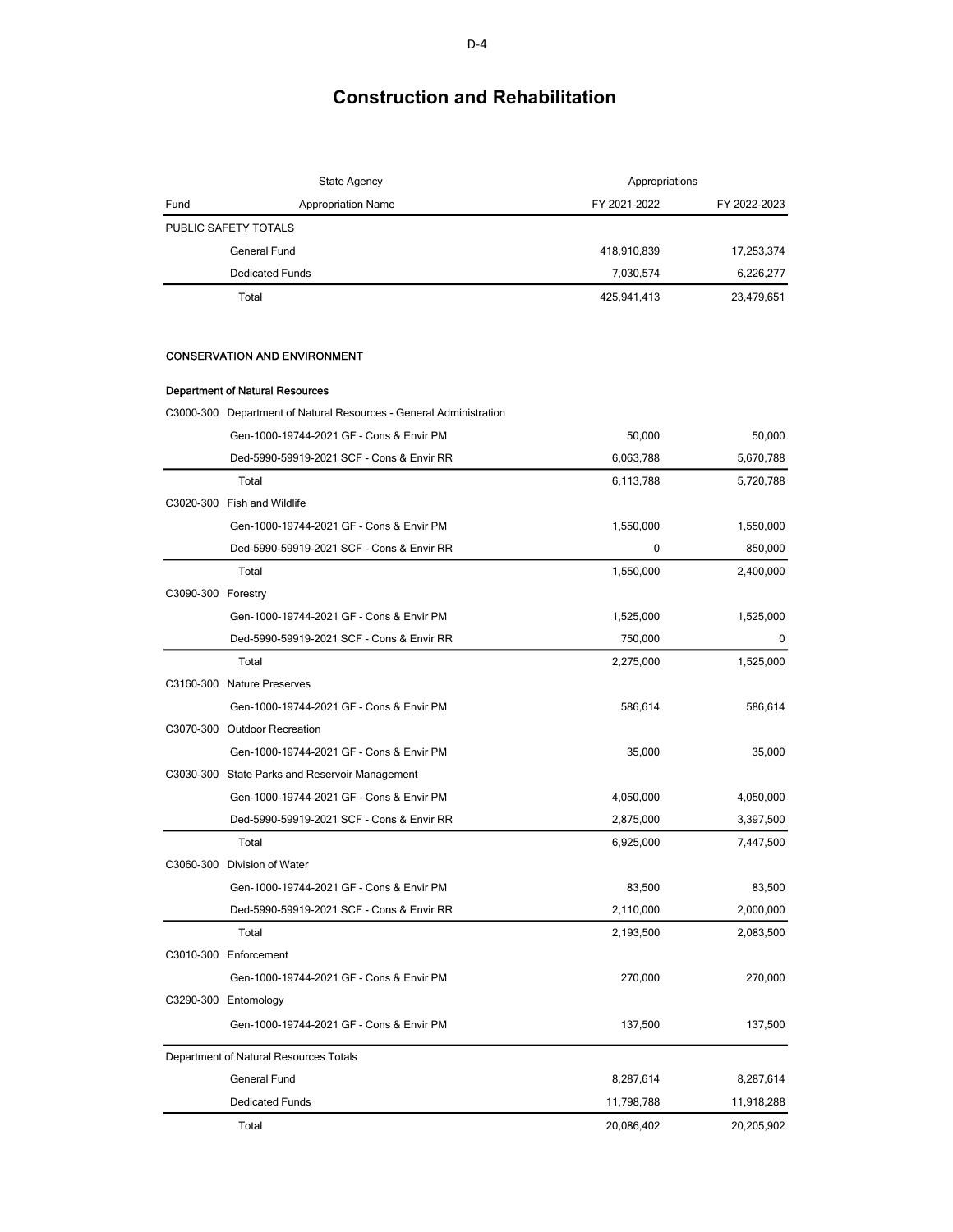|                    | <b>State Agency</b>                                                | Appropriations |              |
|--------------------|--------------------------------------------------------------------|----------------|--------------|
| Fund               | <b>Appropriation Name</b>                                          | FY 2021-2022   | FY 2022-2023 |
|                    | PUBLIC SAFETY TOTALS                                               |                |              |
|                    | General Fund                                                       | 418,910,839    | 17,253,374   |
|                    | <b>Dedicated Funds</b>                                             | 7,030,574      | 6,226,277    |
|                    | Total                                                              | 425,941,413    | 23,479,651   |
|                    | <b>CONSERVATION AND ENVIRONMENT</b>                                |                |              |
|                    | <b>Department of Natural Resources</b>                             |                |              |
|                    | C3000-300 Department of Natural Resources - General Administration |                |              |
|                    | Gen-1000-19744-2021 GF - Cons & Envir PM                           | 50,000         | 50,000       |
|                    | Ded-5990-59919-2021 SCF - Cons & Envir RR                          | 6,063,788      | 5,670,788    |
|                    | Total                                                              | 6,113,788      | 5,720,788    |
|                    | C3020-300 Fish and Wildlife                                        |                |              |
|                    | Gen-1000-19744-2021 GF - Cons & Envir PM                           | 1,550,000      | 1,550,000    |
|                    | Ded-5990-59919-2021 SCF - Cons & Envir RR                          | 0              | 850,000      |
|                    | Total                                                              | 1,550,000      | 2,400,000    |
| C3090-300 Forestry |                                                                    |                |              |
|                    | Gen-1000-19744-2021 GF - Cons & Envir PM                           | 1,525,000      | 1,525,000    |
|                    | Ded-5990-59919-2021 SCF - Cons & Envir RR                          | 750,000        | 0            |
|                    | Total                                                              | 2,275,000      | 1,525,000    |
|                    | C3160-300 Nature Preserves                                         |                |              |
|                    | Gen-1000-19744-2021 GF - Cons & Envir PM                           | 586,614        | 586,614      |
|                    | C3070-300 Outdoor Recreation                                       |                |              |
|                    | Gen-1000-19744-2021 GF - Cons & Envir PM                           | 35,000         | 35,000       |
|                    | C3030-300 State Parks and Reservoir Management                     |                |              |
|                    | Gen-1000-19744-2021 GF - Cons & Envir PM                           | 4,050,000      | 4,050,000    |
|                    | Ded-5990-59919-2021 SCF - Cons & Envir RR                          | 2,875,000      | 3,397,500    |
|                    | Total                                                              | 6,925,000      | 7,447,500    |
|                    | C3060-300 Division of Water                                        |                |              |
|                    | Gen-1000-19744-2021 GF - Cons & Envir PM                           | 83,500         | 83,500       |
|                    | Ded-5990-59919-2021 SCF - Cons & Envir RR                          | 2,110,000      | 2,000,000    |
|                    | Total                                                              | 2,193,500      | 2,083,500    |
|                    | C3010-300 Enforcement                                              |                |              |
|                    | Gen-1000-19744-2021 GF - Cons & Envir PM                           | 270,000        | 270,000      |
|                    | C3290-300 Entomology                                               |                |              |
|                    | Gen-1000-19744-2021 GF - Cons & Envir PM                           | 137,500        | 137,500      |
|                    | Department of Natural Resources Totals                             |                |              |
|                    | General Fund                                                       | 8,287,614      | 8,287,614    |
|                    | <b>Dedicated Funds</b>                                             | 11,798,788     | 11,918,288   |
|                    | Total                                                              | 20,086,402     | 20,205,902   |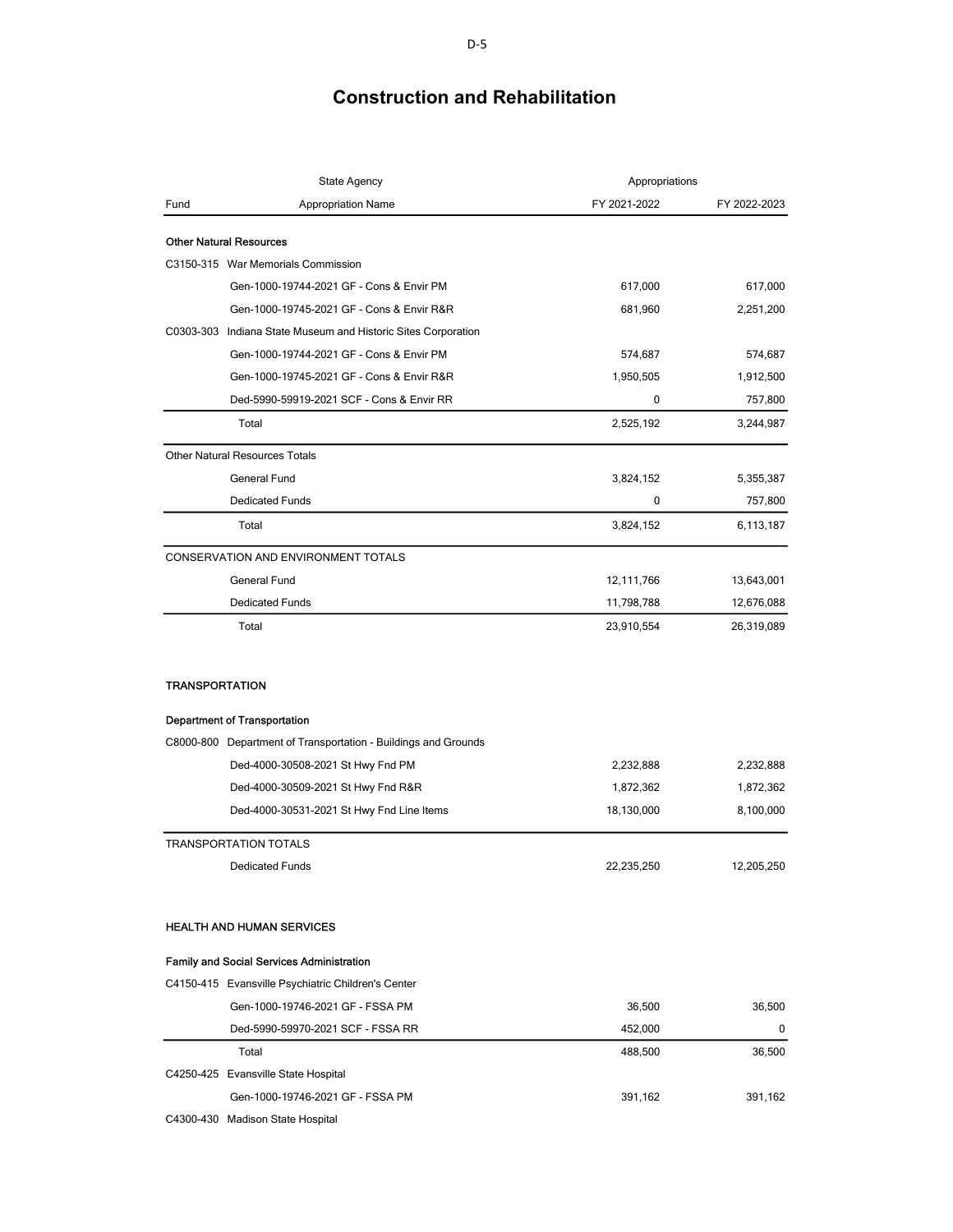| <b>Appropriation Name</b><br>FY 2021-2022<br>FY 2022-2023<br>Fund<br><b>Other Natural Resources</b><br>C3150-315 War Memorials Commission<br>Gen-1000-19744-2021 GF - Cons & Envir PM<br>617,000<br>617,000<br>Gen-1000-19745-2021 GF - Cons & Envir R&R<br>681,960<br>2,251,200<br>C0303-303 Indiana State Museum and Historic Sites Corporation<br>Gen-1000-19744-2021 GF - Cons & Envir PM<br>574,687<br>574,687<br>Gen-1000-19745-2021 GF - Cons & Envir R&R<br>1,950,505<br>1,912,500<br>Ded-5990-59919-2021 SCF - Cons & Envir RR<br>0<br>757,800<br>Total<br>2,525,192<br>3,244,987<br><b>Other Natural Resources Totals</b><br><b>General Fund</b><br>3,824,152<br>5,355,387<br><b>Dedicated Funds</b><br>0<br>757,800<br>3,824,152<br>Total<br>6,113,187<br>CONSERVATION AND ENVIRONMENT TOTALS<br>General Fund<br>12,111,766<br>13,643,001<br><b>Dedicated Funds</b><br>11,798,788<br>12,676,088<br>Total<br>23,910,554<br>26,319,089<br><b>TRANSPORTATION</b><br><b>Department of Transportation</b><br>C8000-800 Department of Transportation - Buildings and Grounds<br>Ded-4000-30508-2021 St Hwy Fnd PM<br>2,232,888<br>2,232,888<br>Ded-4000-30509-2021 St Hwy Fnd R&R<br>1,872,362<br>1,872,362<br>Ded-4000-30531-2021 St Hwy Fnd Line Items<br>18,130,000<br>8,100,000<br><b>TRANSPORTATION TOTALS</b><br>22,235,250<br>12,205,250<br><b>Dedicated Funds</b><br><b>HEALTH AND HUMAN SERVICES</b><br><b>Family and Social Services Administration</b><br>C4150-415 Evansville Psychiatric Children's Center<br>Gen-1000-19746-2021 GF - FSSA PM<br>36,500<br>36,500<br>Ded-5990-59970-2021 SCF - FSSA RR<br>452,000<br>0 | State Agency | Appropriations |        |
|-------------------------------------------------------------------------------------------------------------------------------------------------------------------------------------------------------------------------------------------------------------------------------------------------------------------------------------------------------------------------------------------------------------------------------------------------------------------------------------------------------------------------------------------------------------------------------------------------------------------------------------------------------------------------------------------------------------------------------------------------------------------------------------------------------------------------------------------------------------------------------------------------------------------------------------------------------------------------------------------------------------------------------------------------------------------------------------------------------------------------------------------------------------------------------------------------------------------------------------------------------------------------------------------------------------------------------------------------------------------------------------------------------------------------------------------------------------------------------------------------------------------------------------------------------------------------------------------------------------------------------------------|--------------|----------------|--------|
|                                                                                                                                                                                                                                                                                                                                                                                                                                                                                                                                                                                                                                                                                                                                                                                                                                                                                                                                                                                                                                                                                                                                                                                                                                                                                                                                                                                                                                                                                                                                                                                                                                           |              |                |        |
|                                                                                                                                                                                                                                                                                                                                                                                                                                                                                                                                                                                                                                                                                                                                                                                                                                                                                                                                                                                                                                                                                                                                                                                                                                                                                                                                                                                                                                                                                                                                                                                                                                           |              |                |        |
|                                                                                                                                                                                                                                                                                                                                                                                                                                                                                                                                                                                                                                                                                                                                                                                                                                                                                                                                                                                                                                                                                                                                                                                                                                                                                                                                                                                                                                                                                                                                                                                                                                           |              |                |        |
|                                                                                                                                                                                                                                                                                                                                                                                                                                                                                                                                                                                                                                                                                                                                                                                                                                                                                                                                                                                                                                                                                                                                                                                                                                                                                                                                                                                                                                                                                                                                                                                                                                           |              |                |        |
|                                                                                                                                                                                                                                                                                                                                                                                                                                                                                                                                                                                                                                                                                                                                                                                                                                                                                                                                                                                                                                                                                                                                                                                                                                                                                                                                                                                                                                                                                                                                                                                                                                           |              |                |        |
|                                                                                                                                                                                                                                                                                                                                                                                                                                                                                                                                                                                                                                                                                                                                                                                                                                                                                                                                                                                                                                                                                                                                                                                                                                                                                                                                                                                                                                                                                                                                                                                                                                           |              |                |        |
|                                                                                                                                                                                                                                                                                                                                                                                                                                                                                                                                                                                                                                                                                                                                                                                                                                                                                                                                                                                                                                                                                                                                                                                                                                                                                                                                                                                                                                                                                                                                                                                                                                           |              |                |        |
|                                                                                                                                                                                                                                                                                                                                                                                                                                                                                                                                                                                                                                                                                                                                                                                                                                                                                                                                                                                                                                                                                                                                                                                                                                                                                                                                                                                                                                                                                                                                                                                                                                           |              |                |        |
|                                                                                                                                                                                                                                                                                                                                                                                                                                                                                                                                                                                                                                                                                                                                                                                                                                                                                                                                                                                                                                                                                                                                                                                                                                                                                                                                                                                                                                                                                                                                                                                                                                           |              |                |        |
|                                                                                                                                                                                                                                                                                                                                                                                                                                                                                                                                                                                                                                                                                                                                                                                                                                                                                                                                                                                                                                                                                                                                                                                                                                                                                                                                                                                                                                                                                                                                                                                                                                           |              |                |        |
|                                                                                                                                                                                                                                                                                                                                                                                                                                                                                                                                                                                                                                                                                                                                                                                                                                                                                                                                                                                                                                                                                                                                                                                                                                                                                                                                                                                                                                                                                                                                                                                                                                           |              |                |        |
|                                                                                                                                                                                                                                                                                                                                                                                                                                                                                                                                                                                                                                                                                                                                                                                                                                                                                                                                                                                                                                                                                                                                                                                                                                                                                                                                                                                                                                                                                                                                                                                                                                           |              |                |        |
|                                                                                                                                                                                                                                                                                                                                                                                                                                                                                                                                                                                                                                                                                                                                                                                                                                                                                                                                                                                                                                                                                                                                                                                                                                                                                                                                                                                                                                                                                                                                                                                                                                           |              |                |        |
|                                                                                                                                                                                                                                                                                                                                                                                                                                                                                                                                                                                                                                                                                                                                                                                                                                                                                                                                                                                                                                                                                                                                                                                                                                                                                                                                                                                                                                                                                                                                                                                                                                           |              |                |        |
|                                                                                                                                                                                                                                                                                                                                                                                                                                                                                                                                                                                                                                                                                                                                                                                                                                                                                                                                                                                                                                                                                                                                                                                                                                                                                                                                                                                                                                                                                                                                                                                                                                           |              |                |        |
|                                                                                                                                                                                                                                                                                                                                                                                                                                                                                                                                                                                                                                                                                                                                                                                                                                                                                                                                                                                                                                                                                                                                                                                                                                                                                                                                                                                                                                                                                                                                                                                                                                           |              |                |        |
|                                                                                                                                                                                                                                                                                                                                                                                                                                                                                                                                                                                                                                                                                                                                                                                                                                                                                                                                                                                                                                                                                                                                                                                                                                                                                                                                                                                                                                                                                                                                                                                                                                           |              |                |        |
|                                                                                                                                                                                                                                                                                                                                                                                                                                                                                                                                                                                                                                                                                                                                                                                                                                                                                                                                                                                                                                                                                                                                                                                                                                                                                                                                                                                                                                                                                                                                                                                                                                           |              |                |        |
|                                                                                                                                                                                                                                                                                                                                                                                                                                                                                                                                                                                                                                                                                                                                                                                                                                                                                                                                                                                                                                                                                                                                                                                                                                                                                                                                                                                                                                                                                                                                                                                                                                           |              |                |        |
|                                                                                                                                                                                                                                                                                                                                                                                                                                                                                                                                                                                                                                                                                                                                                                                                                                                                                                                                                                                                                                                                                                                                                                                                                                                                                                                                                                                                                                                                                                                                                                                                                                           |              |                |        |
|                                                                                                                                                                                                                                                                                                                                                                                                                                                                                                                                                                                                                                                                                                                                                                                                                                                                                                                                                                                                                                                                                                                                                                                                                                                                                                                                                                                                                                                                                                                                                                                                                                           |              |                |        |
|                                                                                                                                                                                                                                                                                                                                                                                                                                                                                                                                                                                                                                                                                                                                                                                                                                                                                                                                                                                                                                                                                                                                                                                                                                                                                                                                                                                                                                                                                                                                                                                                                                           |              |                |        |
|                                                                                                                                                                                                                                                                                                                                                                                                                                                                                                                                                                                                                                                                                                                                                                                                                                                                                                                                                                                                                                                                                                                                                                                                                                                                                                                                                                                                                                                                                                                                                                                                                                           |              |                |        |
|                                                                                                                                                                                                                                                                                                                                                                                                                                                                                                                                                                                                                                                                                                                                                                                                                                                                                                                                                                                                                                                                                                                                                                                                                                                                                                                                                                                                                                                                                                                                                                                                                                           |              |                |        |
|                                                                                                                                                                                                                                                                                                                                                                                                                                                                                                                                                                                                                                                                                                                                                                                                                                                                                                                                                                                                                                                                                                                                                                                                                                                                                                                                                                                                                                                                                                                                                                                                                                           |              |                |        |
|                                                                                                                                                                                                                                                                                                                                                                                                                                                                                                                                                                                                                                                                                                                                                                                                                                                                                                                                                                                                                                                                                                                                                                                                                                                                                                                                                                                                                                                                                                                                                                                                                                           |              |                |        |
|                                                                                                                                                                                                                                                                                                                                                                                                                                                                                                                                                                                                                                                                                                                                                                                                                                                                                                                                                                                                                                                                                                                                                                                                                                                                                                                                                                                                                                                                                                                                                                                                                                           |              |                |        |
|                                                                                                                                                                                                                                                                                                                                                                                                                                                                                                                                                                                                                                                                                                                                                                                                                                                                                                                                                                                                                                                                                                                                                                                                                                                                                                                                                                                                                                                                                                                                                                                                                                           |              |                |        |
|                                                                                                                                                                                                                                                                                                                                                                                                                                                                                                                                                                                                                                                                                                                                                                                                                                                                                                                                                                                                                                                                                                                                                                                                                                                                                                                                                                                                                                                                                                                                                                                                                                           |              |                |        |
|                                                                                                                                                                                                                                                                                                                                                                                                                                                                                                                                                                                                                                                                                                                                                                                                                                                                                                                                                                                                                                                                                                                                                                                                                                                                                                                                                                                                                                                                                                                                                                                                                                           |              |                |        |
|                                                                                                                                                                                                                                                                                                                                                                                                                                                                                                                                                                                                                                                                                                                                                                                                                                                                                                                                                                                                                                                                                                                                                                                                                                                                                                                                                                                                                                                                                                                                                                                                                                           |              |                |        |
|                                                                                                                                                                                                                                                                                                                                                                                                                                                                                                                                                                                                                                                                                                                                                                                                                                                                                                                                                                                                                                                                                                                                                                                                                                                                                                                                                                                                                                                                                                                                                                                                                                           | Total        | 488,500        | 36,500 |
| C4250-425 Evansville State Hospital                                                                                                                                                                                                                                                                                                                                                                                                                                                                                                                                                                                                                                                                                                                                                                                                                                                                                                                                                                                                                                                                                                                                                                                                                                                                                                                                                                                                                                                                                                                                                                                                       |              |                |        |
| Gen-1000-19746-2021 GF - FSSA PM<br>391,162<br>391,162                                                                                                                                                                                                                                                                                                                                                                                                                                                                                                                                                                                                                                                                                                                                                                                                                                                                                                                                                                                                                                                                                                                                                                                                                                                                                                                                                                                                                                                                                                                                                                                    |              |                |        |
| C4300-430 Madison State Hospital                                                                                                                                                                                                                                                                                                                                                                                                                                                                                                                                                                                                                                                                                                                                                                                                                                                                                                                                                                                                                                                                                                                                                                                                                                                                                                                                                                                                                                                                                                                                                                                                          |              |                |        |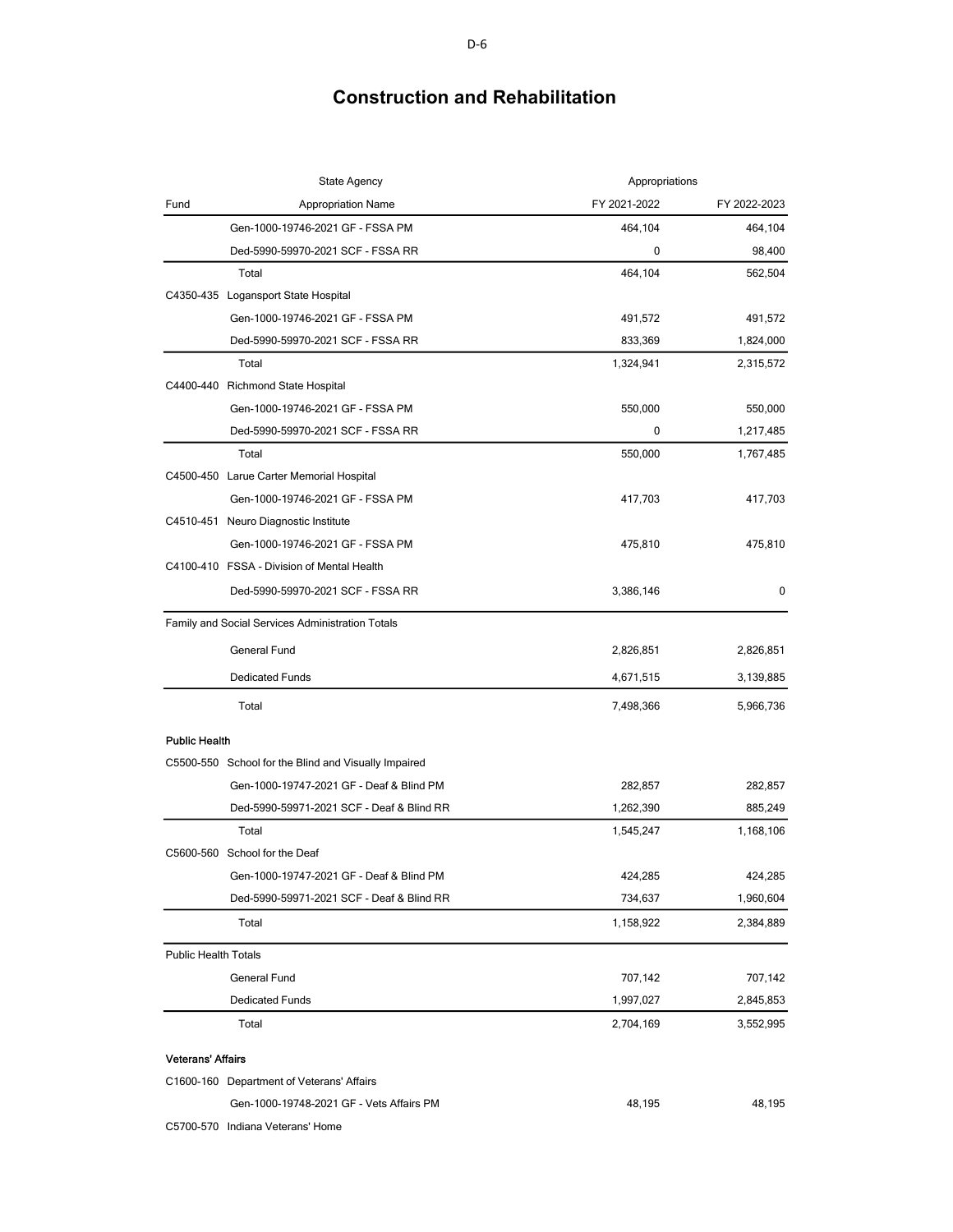|                             | <b>State Agency</b><br>Appropriations                |              |              |
|-----------------------------|------------------------------------------------------|--------------|--------------|
| Fund                        | <b>Appropriation Name</b>                            | FY 2021-2022 | FY 2022-2023 |
|                             | Gen-1000-19746-2021 GF - FSSA PM                     | 464,104      | 464,104      |
|                             | Ded-5990-59970-2021 SCF - FSSA RR                    | 0            | 98,400       |
|                             | Total                                                | 464,104      | 562,504      |
|                             | C4350-435 Logansport State Hospital                  |              |              |
|                             | Gen-1000-19746-2021 GF - FSSA PM                     | 491,572      | 491,572      |
|                             | Ded-5990-59970-2021 SCF - FSSA RR                    | 833,369      | 1,824,000    |
|                             | Total                                                | 1,324,941    | 2,315,572    |
|                             | C4400-440 Richmond State Hospital                    |              |              |
|                             | Gen-1000-19746-2021 GF - FSSA PM                     | 550,000      | 550,000      |
|                             | Ded-5990-59970-2021 SCF - FSSA RR                    | 0            | 1,217,485    |
|                             | Total                                                | 550,000      | 1,767,485    |
|                             | C4500-450 Larue Carter Memorial Hospital             |              |              |
|                             | Gen-1000-19746-2021 GF - FSSA PM                     | 417,703      | 417,703      |
|                             | C4510-451 Neuro Diagnostic Institute                 |              |              |
|                             | Gen-1000-19746-2021 GF - FSSA PM                     | 475,810      | 475,810      |
|                             | C4100-410 FSSA - Division of Mental Health           |              |              |
|                             | Ded-5990-59970-2021 SCF - FSSA RR                    | 3,386,146    | 0            |
|                             | Family and Social Services Administration Totals     |              |              |
|                             | General Fund                                         | 2,826,851    | 2,826,851    |
|                             | <b>Dedicated Funds</b>                               | 4,671,515    | 3,139,885    |
|                             | Total                                                | 7,498,366    | 5,966,736    |
| <b>Public Health</b>        |                                                      |              |              |
|                             | C5500-550 School for the Blind and Visually Impaired |              |              |
|                             | Gen-1000-19747-2021 GF - Deaf & Blind PM             | 282,857      | 282,857      |
|                             | Ded-5990-59971-2021 SCF - Deaf & Blind RR            | 1,262,390    | 885,249      |
|                             | Total                                                | 1,545,247    | 1,168,106    |
|                             | C5600-560 School for the Deaf                        |              |              |
|                             | Gen-1000-19747-2021 GF - Deaf & Blind PM             | 424,285      | 424,285      |
|                             | Ded-5990-59971-2021 SCF - Deaf & Blind RR            | 734,637      | 1,960,604    |
|                             | Total                                                | 1,158,922    | 2,384,889    |
| <b>Public Health Totals</b> |                                                      |              |              |
|                             | <b>General Fund</b>                                  | 707,142      | 707,142      |
|                             | <b>Dedicated Funds</b>                               | 1,997,027    | 2,845,853    |
|                             | Total                                                | 2,704,169    | 3,552,995    |
| <b>Veterans' Affairs</b>    |                                                      |              |              |
|                             | C1600-160 Department of Veterans' Affairs            |              |              |
|                             | Gen-1000-19748-2021 GF - Vets Affairs PM             | 48,195       | 48,195       |

C5700-570 Indiana Veterans' Home